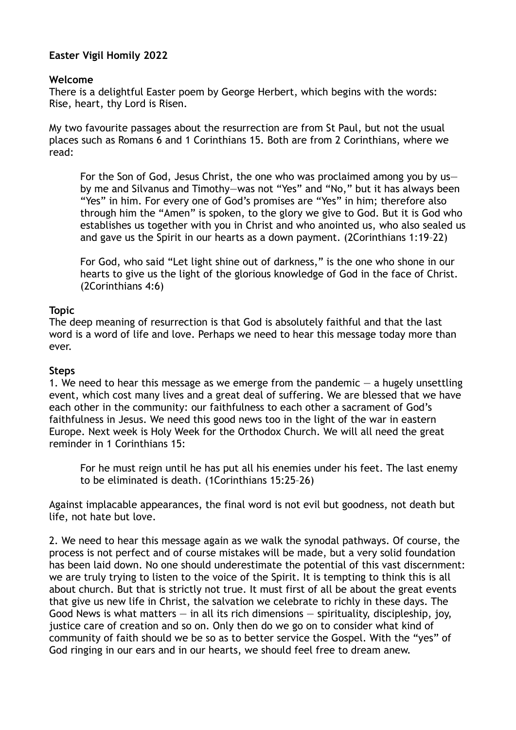# **Easter Vigil Homily 2022**

#### **Welcome**

There is a delightful Easter poem by George Herbert, which begins with the words: Rise, heart, thy Lord is Risen.

My two favourite passages about the resurrection are from St Paul, but not the usual places such as Romans 6 and 1 Corinthians 15. Both are from 2 Corinthians, where we read:

For the Son of God, Jesus Christ, the one who was proclaimed among you by us by me and Silvanus and Timothy—was not "Yes" and "No," but it has always been "Yes" in him. For every one of God's promises are "Yes" in him; therefore also through him the "Amen" is spoken, to the glory we give to God. But it is God who establishes us together with you in Christ and who anointed us, who also sealed us and gave us the Spirit in our hearts as a down payment. (2Corinthians 1:19–22)

For God, who said "Let light shine out of darkness," is the one who shone in our hearts to give us the light of the glorious knowledge of God in the face of Christ. (2Corinthians 4:6)

## **Topic**

The deep meaning of resurrection is that God is absolutely faithful and that the last word is a word of life and love. Perhaps we need to hear this message today more than ever.

#### **Steps**

1. We need to hear this message as we emerge from the pandemic  $-$  a hugely unsettling event, which cost many lives and a great deal of suffering. We are blessed that we have each other in the community: our faithfulness to each other a sacrament of God's faithfulness in Jesus. We need this good news too in the light of the war in eastern Europe. Next week is Holy Week for the Orthodox Church. We will all need the great reminder in 1 Corinthians 15:

For he must reign until he has put all his enemies under his feet. The last enemy to be eliminated is death. (1Corinthians 15:25–26)

Against implacable appearances, the final word is not evil but goodness, not death but life, not hate but love.

2. We need to hear this message again as we walk the synodal pathways. Of course, the process is not perfect and of course mistakes will be made, but a very solid foundation has been laid down. No one should underestimate the potential of this vast discernment: we are truly trying to listen to the voice of the Spirit. It is tempting to think this is all about church. But that is strictly not true. It must first of all be about the great events that give us new life in Christ, the salvation we celebrate to richly in these days. The Good News is what matters  $-$  in all its rich dimensions  $-$  spirituality, discipleship, joy, justice care of creation and so on. Only then do we go on to consider what kind of community of faith should we be so as to better service the Gospel. With the "yes" of God ringing in our ears and in our hearts, we should feel free to dream anew.